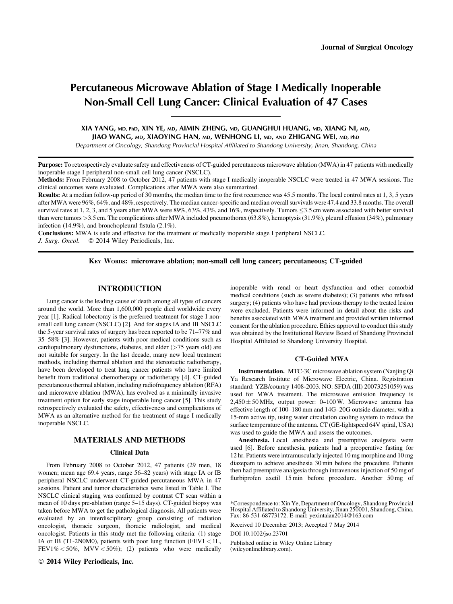# Percutaneous Microwave Ablation of Stage I Medically Inoperable Non-Small Cell Lung Cancer: Clinical Evaluation of 47 Cases

## XIA YANG, MD, PhD, XIN YE, MD, AIMIN ZHENG, MD, GUANGHUI HUANG, MD, XIANG NI, MD, JIAO WANG, MD, XIAOYING HAN, MD, WENHONG LI, MD, AND ZHIGANG WEI, MD, PhD

Department of Oncology, Shandong Provincial Hospital Affiliated to Shandong University, Jinan, Shandong, China

Purpose: To retrospectively evaluate safety and effectiveness of CT-guided percutaneous microwave ablation (MWA) in 47 patients with medically inoperable stage I peripheral non‐small cell lung cancer (NSCLC).

Methods: From February 2008 to October 2012, 47 patients with stage I medically inoperable NSCLC were treated in 47 MWA sessions. The clinical outcomes were evaluated. Complications after MWA were also summarized.

Results: At a median follow-up period of 30 months, the median time to the first recurrence was 45.5 months. The local control rates at 1, 3, 5 years after MWA were 96%, 64%, and 48%, respectively. The median cancer-specific and median overall survivals were 47.4 and 33.8 months. The overall survival rates at 1, 2, 3, and 5 years after MWA were 89%, 63%, 43%, and 16%, respectively. Tumors  $\leq$ 3.5 cm were associated with better survival than were tumors >3.5 cm. The complications after MWA included pneumothorax (63.8%), hemoptysis (31.9%), pleural effusion (34%), pulmonary infection (14.9%), and bronchopleural fistula (2.1%).

Conclusions: MWA is safe and effective for the treatment of medically inoperable stage I peripheral NSCLC. J. Surg. Oncol.  $\circ$  2014 Wiley Periodicals, Inc.

KEY WORDS: microwave ablation; non‐small cell lung cancer; percutaneous; CT‐guided

# INTRODUCTION

Lung cancer is the leading cause of death among all types of cancers around the world. More than 1,600,000 people died worldwide every year [1]. Radical lobectomy is the preferred treatment for stage I nonsmall cell lung cancer (NSCLC) [2]. And for stages IA and IB NSCLC the 5-year survival rates of surgery has been reported to be 71–77% and 35–58% [3]. However, patients with poor medical conditions such as cardiopulmonary dysfunctions, diabetes, and elder  $($ >75 years old) are not suitable for surgery. In the last decade, many new local treatment methods, including thermal ablation and the stereotactic radiotherapy, have been developed to treat lung cancer patients who have limited benefit from traditional chemotherapy or radiotherapy [4]. CT‐guided percutaneous thermal ablation, including radiofrequency ablation (RFA) and microwave ablation (MWA), has evolved as a minimally invasive treatment option for early stage inoperable lung cancer [5]. This study retrospectively evaluated the safety, effectiveness and complications of MWA as an alternative method for the treatment of stage I medically inoperable NSCLC.

## MATERIALS AND METHODS

### Clinical Data

From February 2008 to October 2012, 47 patients (29 men, 18 women; mean age 69.4 years, range 56–82 years) with stage IA or IB peripheral NSCLC underwent CT‐guided percutaneous MWA in 47 sessions. Patient and tumor characteristics were listed in Table I. The NSCLC clinical staging was confirmed by contrast CT scan within a mean of 10 days pre-ablation (range 5–15 days). CT-guided biopsy was taken before MWA to get the pathological diagnosis. All patients were evaluated by an interdisciplinary group consisting of radiation oncologist, thoracic surgeon, thoracic radiologist, and medical oncologist. Patients in this study met the following criteria: (1) stage IA or IB (T1‐2N0M0), patients with poor lung function (FEV1 < 1L, FEV1%  $<$  50%, MVV  $<$  50%); (2) patients who were medically

2014 Wiley Periodicals, Inc.

inoperable with renal or heart dysfunction and other comorbid medical conditions (such as severe diabetes); (3) patients who refused surgery; (4) patients who have had previous therapy to the treated lesion were excluded. Patients were informed in detail about the risks and benefits associated with MWA treatment and provided written informed consent for the ablation procedure. Ethics approval to conduct this study was obtained by the Institutional Review Board of Shandong Provincial Hospital Affiliated to Shandong University Hospital.

#### CT‐Guided MWA

Instrumentation. MTC‐3C microwave ablation system (Nanjing Qi Ya Research Institute of Microwave Electric, China. Registration standard: YZB/country 1408‐2003. NO: SFDA (III) 20073251059) was used for MWA treatment. The microwave emission frequency is  $2,450 \pm 50$  MHz, output power: 0–100 W. Microwave antenna has effective length of 100–180 mm and 14G–20G outside diameter, with a 15‐mm active tip, using water circulation cooling system to reduce the surface temperature of the antenna. CT (GE-lightspeed 64V spiral, USA) was used to guide the MWA and assess the outcomes.

Anesthesia. Local anesthesia and preemptive analgesia were used [6]. Before anesthesia, patients had a preoperative fasting for 12 hr. Patients were intramuscularly injected 10 mg morphine and 10 mg diazepam to achieve anesthesia 30 min before the procedure. Patients then had preemptive analgesia through intravenous injection of 50 mg of flurbiprofen axetil 15 min before procedure. Another 50 mg of

\*Correspondence to: Xin Ye, Department of Oncology, Shandong Provincial Hospital Affiliated to Shandong University, Jinan 250001, Shandong, China. Fax: 86‐531‐68773172. E‐mail: yexintaian2014@163.com

Received 10 December 2013; Accepted 7 May 2014

DOI 10.1002/jso.23701

Published online in Wiley Online Library (wileyonlinelibrary.com).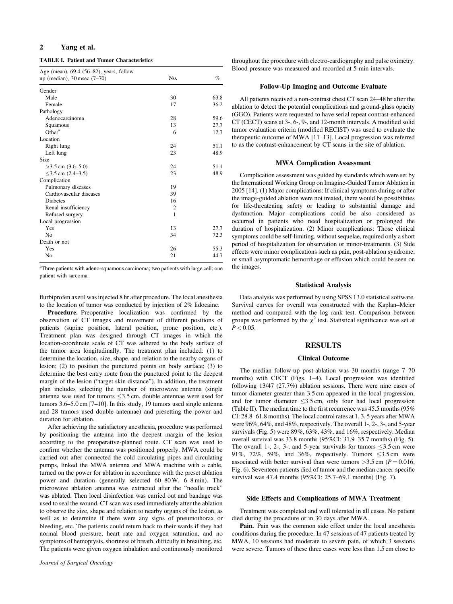## 2 Yang et al.

TABLE I. Patient and Tumor Characteristics

| Age (mean), 69.4 (56–82), years, follow |                |      |  |  |
|-----------------------------------------|----------------|------|--|--|
| up (median), $30$ msec $(7-70)$         | No.            | $\%$ |  |  |
| Gender                                  |                |      |  |  |
| Male                                    | 30             | 63.8 |  |  |
| Female                                  | 17             | 36.2 |  |  |
| Pathology                               |                |      |  |  |
| Adenocarcinoma                          | 28             | 59.6 |  |  |
| Squamous                                | 13             | 27.7 |  |  |
| Other <sup>a</sup>                      | 6              | 12.7 |  |  |
| Location                                |                |      |  |  |
| Right lung                              | 24             | 51.1 |  |  |
| Left lung                               | 23             | 48.9 |  |  |
| Size                                    |                |      |  |  |
| $>3.5$ cm $(3.6-5.0)$                   | 24             | 51.1 |  |  |
| $\leq$ 3.5 cm (2.4–3.5)                 | 23             | 48.9 |  |  |
| Complication                            |                |      |  |  |
| Pulmonary diseases                      | 19             |      |  |  |
| Cardiovascular diseases                 | 39             |      |  |  |
| Diabetes                                | 16             |      |  |  |
| Renal insufficiency                     | $\overline{2}$ |      |  |  |
| Refused surgery                         | 1              |      |  |  |
| Local progression                       |                |      |  |  |
| Yes                                     | 13             | 27.7 |  |  |
| N <sub>0</sub>                          | 34             | 72.3 |  |  |
| Death or not                            |                |      |  |  |
| Yes                                     | 26             | 55.3 |  |  |
| No                                      | 21             | 44.7 |  |  |

<sup>a</sup>Three patients with adeno-squamous carcinoma; two patients with large cell; one patient with sarcoma.

flurbiprofen axetil was injected 8 hr after procedure. The local anesthesia to the location of tumor was conducted by injection of 2% lidocaine.

Procedure. Preoperative localization was confirmed by the observation of CT images and movement of different positions of patients (supine position, lateral position, prone position, etc.). Treatment plan was designed through CT images in which the location‐coordinate scale of CT was adhered to the body surface of the tumor area longitudinally. The treatment plan included: (1) to determine the location, size, shape, and relation to the nearby organs of lesion; (2) to position the punctured points on body surface; (3) to determine the best entry route from the punctured point to the deepest margin of the lesion ("target skin distance"). In addition, the treatment plan includes selecting the number of microwave antenna (single antenna was used for tumors  $\leq$ 3.5 cm, double antennae were used for tumors 3.6–5.0 cm [7–10]. In this study, 19 tumors used single antenna and 28 tumors used double antennae) and presetting the power and duration for ablation.

After achieving the satisfactory anesthesia, procedure was performed by positioning the antenna into the deepest margin of the lesion according to the preoperative‐planned route. CT scan was used to confirm whether the antenna was positioned properly. MWA could be carried out after connected the cold circulating pipes and circulating pumps, linked the MWA antenna and MWA machine with a cable, turned on the power for ablation in accordance with the preset ablation power and duration (generally selected 60–80 W, 6–8 min). The microwave ablation antenna was extracted after the "needle track" was ablated. Then local disinfection was carried out and bandage was used to seal the wound. CT scan was used immediately after the ablation to observe the size, shape and relation to nearby organs of the lesion, as well as to determine if there were any signs of pneumothorax or bleeding, etc. The patients could return back to their wards if they had normal blood pressure, heart rate and oxygen saturation, and no symptoms of hemoptysis, shortness of breath, difficulty in breathing, etc. The patients were given oxygen inhalation and continuously monitored

throughout the procedure with electro‐cardiography and pulse oximetry. Blood pressure was measured and recorded at 5‐min intervals.

#### Follow‐Up Imaging and Outcome Evaluate

All patients received a non‐contrast chest CT scan 24–48 hr after the ablation to detect the potential complications and ground‐glass opacity (GGO). Patients were requested to have serial repeat contrast‐enhanced CT (CECT) scans at 3‐, 6‐, 9‐, and 12‐month intervals. A modified solid tumor evaluation criteria (modified RECIST) was used to evaluate the therapeutic outcome of MWA [11–13]. Local progression was referred to as the contrast‐enhancement by CT scans in the site of ablation.

#### MWA Complication Assessment

Complication assessment was guided by standards which were set by the International Working Group on Imagine‐Guided Tumor Ablation in 2005 [14]. (1) Major complications: If clinical symptoms during or after the image‐guided ablation were not treated, there would be possibilities for life‐threatening safety or leading to substantial damage and dysfunction. Major complications could be also considered as occurred in patients who need hospitalization or prolonged the duration of hospitalization. (2) Minor complications: Those clinical symptoms could be self‐limiting, without sequelae, required only a short period of hospitalization for observation or minor-treatments. (3) Side effects were minor complications such as pain, post‐ablation syndrome, or small asymptomatic hemorrhage or effusion which could be seen on the images.

#### Statistical Analysis

Data analysis was performed by using SPSS 13.0 statistical software. Survival curves for overall was constructed with the Kaplan–Meier method and compared with the log rank test. Comparison between groups was performed by the  $\chi^2$  test. Statistical significance was set at  $P < 0.05$ .

## **RESULTS**

#### Clinical Outcome

The median follow-up post-ablation was 30 months (range 7–70 months) with CECT (Figs. 1–4). Local progression was identified following 13/47 (27.7%) ablation sessions. There were nine cases of tumor diameter greater than 3.5 cm appeared in the local progression, and for tumor diameter  $\leq 3.5$  cm, only four had local progression (Table II). The median time to the first recurrence was 45.5 months (95% CI: 28.8–61.8 months). The local control rates at 1, 3, 5 years after MWA were 96%, 64%, and 48%, respectively. The overall 1‐, 2‐, 3‐, and 5‐year survivals (Fig. 5) were 89%, 63%, 43%, and 16%, respectively. Median overall survival was 33.8 months (95%CI: 31.9–35.7 months) (Fig. 5). The overall 1-, 2-, 3-, and 5-year survivals for tumors  $\leq 3.5$  cm were 91%, 72%, 59%, and 36%, respectively. Tumors  $\leq$ 3.5 cm were associated with better survival than were tumors  $>3.5$  cm ( $P = 0.016$ , Fig. 6). Seventeen patients died of tumor and the median cancer‐specific survival was 47.4 months (95%CI: 25.7–69.1 months) (Fig. 7).

#### Side Effects and Complications of MWA Treatment

Treatment was completed and well tolerated in all cases. No patient died during the procedure or in 30 days after MWA.

Pain. Pain was the common side effect under the local anesthesia conditions during the procedure. In 47 sessions of 47 patients treated by MWA, 10 sessions had moderate to severe pain, of which 3 sessions were severe. Tumors of these three cases were less than 1.5 cm close to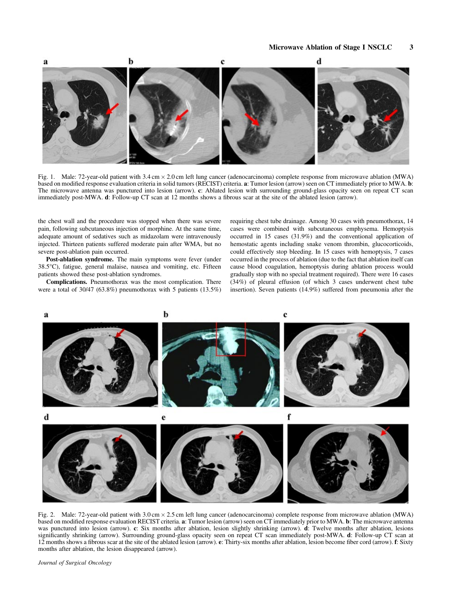

Fig. 1. Male: 72-year-old patient with 3.4 cm  $\times$  2.0 cm left lung cancer (adenocarcinoma) complete response from microwave ablation (MWA) based on modified response evaluation criteria in solid tumors (RECIST) criteria. a: Tumor lesion (arrow) seen on CT immediately prior to MWA. b: The microwave antenna was punctured into lesion (arrow). c: Ablated lesion with surrounding ground-glass opacity seen on repeat CT scan immediately post-MWA. d: Follow-up CT scan at 12 months shows a fibrous scar at the site of the ablated lesion (arrow).

the chest wall and the procedure was stopped when there was severe pain, following subcutaneous injection of morphine. At the same time, adequate amount of sedatives such as midazolam were intravenously injected. Thirteen patients suffered moderate pain after WMA, but no severe post‐ablation pain occurred.

Post-ablation syndrome. The main symptoms were fever (under 38.5°C), fatigue, general malaise, nausea and vomiting, etc. Fifteen patients showed these post‐ablation syndromes.

Complications. Pneumothorax was the most complication. There were a total of 30/47 (63.8%) pneumothorax with 5 patients (13.5%)

requiring chest tube drainage. Among 30 cases with pneumothorax, 14 cases were combined with subcutaneous emphysema. Hemoptysis occurred in 15 cases (31.9%) and the conventional application of hemostatic agents including snake venom thrombin, glucocorticoids, could effectively stop bleeding. In 15 cases with hemoptysis, 7 cases occurred in the process of ablation (due to the fact that ablation itself can cause blood coagulation, hemoptysis during ablation process would gradually stop with no special treatment required). There were 16 cases (34%) of pleural effusion (of which 3 cases underwent chest tube insertion). Seven patients (14.9%) suffered from pneumonia after the



Fig. 2. Male: 72-year-old patient with 3.0 cm  $\times$  2.5 cm left lung cancer (adenocarcinoma) complete response from microwave ablation (MWA) based on modified response evaluation RECIST criteria. a: Tumor lesion (arrow) seen on CT immediately prior to MWA. b: The microwave antenna was punctured into lesion (arrow). c: Six months after ablation, lesion slightly shrinking (arrow). d: Twelve months after ablation, lesions significantly shrinking (arrow). Surrounding ground-glass opacity seen on repeat CT scan immediately post-MWA. d: Follow-up CT scan at 12 months shows a fibrous scar at the site of the ablated lesion (arrow). e: Thirty-six months after ablation, lesion become fiber cord (arrow). f: Sixty months after ablation, the lesion disappeared (arrow).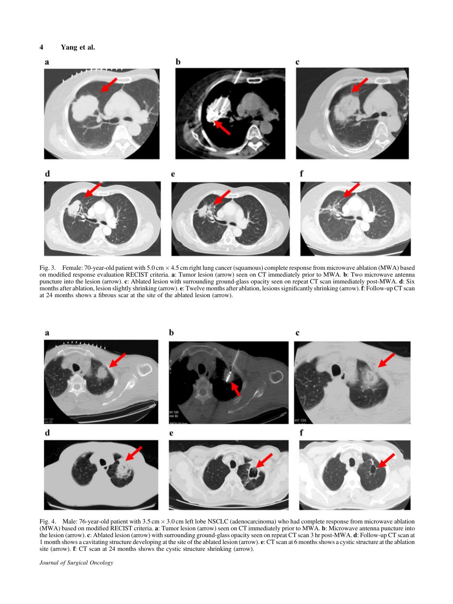# 4 Yang et al.



Fig. 3. Female: 70-year-old patient with 5.0 cm  $\times$  4.5 cm right lung cancer (squamous) complete response from microwave ablation (MWA) based on modified response evaluation RECIST criteria. a: Tumor lesion (arrow) seen on CT immediately prior to MWA. b: Two microwave antenna puncture into the lesion (arrow). c: Ablated lesion with surrounding ground-glass opacity seen on repeat CT scan immediately post-MWA. d: Six months after ablation, lesion slightly shrinking (arrow). e: Twelve months after ablation, lesions significantly shrinking (arrow). f: Follow-up CT scan at 24 months shows a fibrous scar at the site of the ablated lesion (arrow).



Fig. 4. Male: 76‐year‐old patient with 3.5 cm 3.0 cm left lobe NSCLC (adenocarcinoma) who had complete response from microwave ablation (MWA) based on modified RECIST criteria. a: Tumor lesion (arrow) seen on CT immediately prior to MWA. b: Microwave antenna puncture into the lesion (arrow). c: Ablated lesion (arrow) with surrounding ground-glass opacity seen on repeat CT scan 3 hr post-MWA. d: Follow-up CT scan at 1 month shows a cavitating structure developing at the site of the ablated lesion (arrow). e: CT scan at 6 months shows a cystic structure at the ablation site (arrow). f: CT scan at 24 months shows the cystic structure shrinking (arrow).

Journal of Surgical Oncology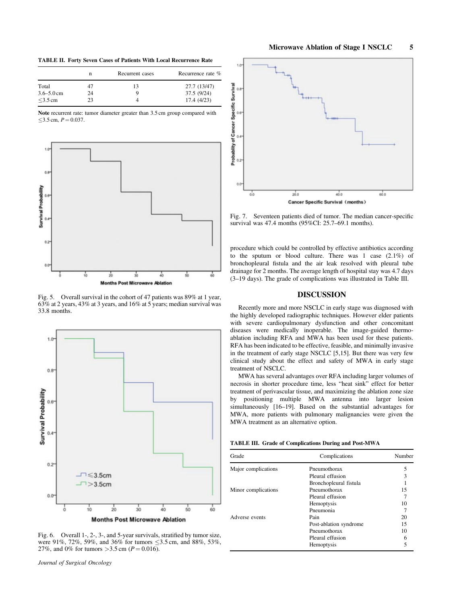TABLE II. Forty Seven Cases of Patients With Local Recurrence Rate

|                | n  | Recurrent cases | Recurrence rate % |
|----------------|----|-----------------|-------------------|
| Total          | 47 | 13              | 27.7 (13/47)      |
| $3.6 - 5.0$ cm | 24 | y.              | 37.5 (9/24)       |
| $<$ 3.5 cm     | つつ |                 | 17.4(4/23)        |

Note recurrent rate: tumor diameter greater than 3.5 cm group compared with  $\leq$ 3.5 cm,  $P = 0.037$ .



Fig. 5. Overall survival in the cohort of 47 patients was 89% at 1 year, 63% at 2 years, 43% at 3 years, and 16% at 5 years; median survival was 33.8 months.



Fig. 6. Overall 1‐, 2‐, 3‐, and 5‐year survivals, stratified by tumor size, were 91%, 72%, 59%, and 36% for tumors  $\leq$ 3.5 cm, and 88%, 53%, 27%, and 0% for tumors > 3.5 cm ( $P = 0.016$ ).



Fig. 7. Seventeen patients died of tumor. The median cancer-specific survival was 47.4 months (95%CI: 25.7–69.1 months).

procedure which could be controlled by effective antibiotics according to the sputum or blood culture. There was 1 case (2.1%) of bronchopleural fistula and the air leak resolved with pleural tube drainage for 2 months. The average length of hospital stay was 4.7 days (3–19 days). The grade of complications was illustrated in Table III.

## DISCUSSION

Recently more and more NSCLC in early stage was diagnosed with the highly developed radiographic techniques. However elder patients with severe cardiopulmonary dysfunction and other concomitant diseases were medically inoperable. The image-guided thermoablation including RFA and MWA has been used for these patients. RFA has been indicated to be effective, feasible, and minimally invasive in the treatment of early stage NSCLC [5,15]. But there was very few clinical study about the effect and safety of MWA in early stage treatment of NSCLC.

MWA has several advantages over RFA including larger volumes of necrosis in shorter procedure time, less "heat sink" effect for better treatment of perivascular tissue, and maximizing the ablation zone size by positioning multiple MWA antenna into larger lesion simultaneously [16–19]. Based on the substantial advantages for MWA, more patients with pulmonary malignancies were given the MWA treatment as an alternative option.

|  |  | <b>TABLE III. Grade of Complications During and Post-MWA</b> |  |  |
|--|--|--------------------------------------------------------------|--|--|
|--|--|--------------------------------------------------------------|--|--|

| Grade               | Complications          | Number |
|---------------------|------------------------|--------|
| Major complications | Pneumothorax           | 5      |
|                     | Pleural effusion       |        |
|                     | Bronchopleural fistula |        |
| Minor complications | Pneumothorax           | 15     |
|                     | Pleural effusion       |        |
|                     | Hemoptysis             | 10     |
|                     | Pneumonia              |        |
| Adverse events      | Pain                   | 20     |
|                     | Post-ablation syndrome | 15     |
|                     | Pneumothorax           | 10     |
|                     | Pleural effusion       |        |
|                     | Hemoptysis             |        |